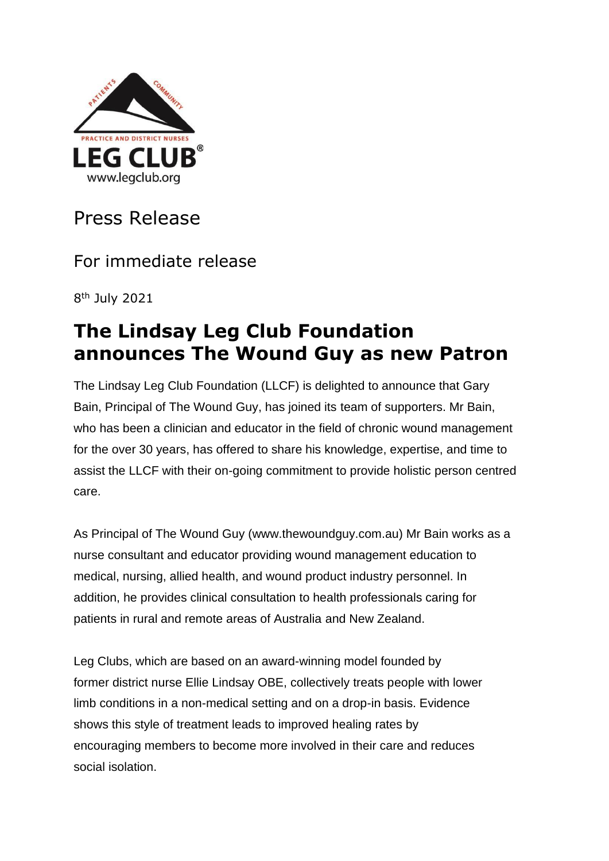

Press Release

For immediate release

8 th July 2021

## **The Lindsay Leg Club Foundation announces The Wound Guy as new Patron**

The Lindsay Leg Club Foundation (LLCF) is delighted to announce that Gary Bain, Principal of The Wound Guy, has joined its team of supporters. Mr Bain, who has been a clinician and educator in the field of chronic wound management for the over 30 years, has offered to share his knowledge, expertise, and time to assist the LLCF with their on-going commitment to provide holistic person centred care.

As Principal of The Wound Guy (www.thewoundguy.com.au) Mr Bain works as a nurse consultant and educator providing wound management education to medical, nursing, allied health, and wound product industry personnel. In addition, he provides clinical consultation to health professionals caring for patients in rural and remote areas of Australia and New Zealand.

Leg Clubs, which are based on an award-winning model founded by former district nurse Ellie Lindsay OBE, collectively treats people with lower limb conditions in a non-medical setting and on a drop-in basis. Evidence shows this style of treatment leads to improved healing rates by encouraging members to become more involved in their care and reduces social isolation.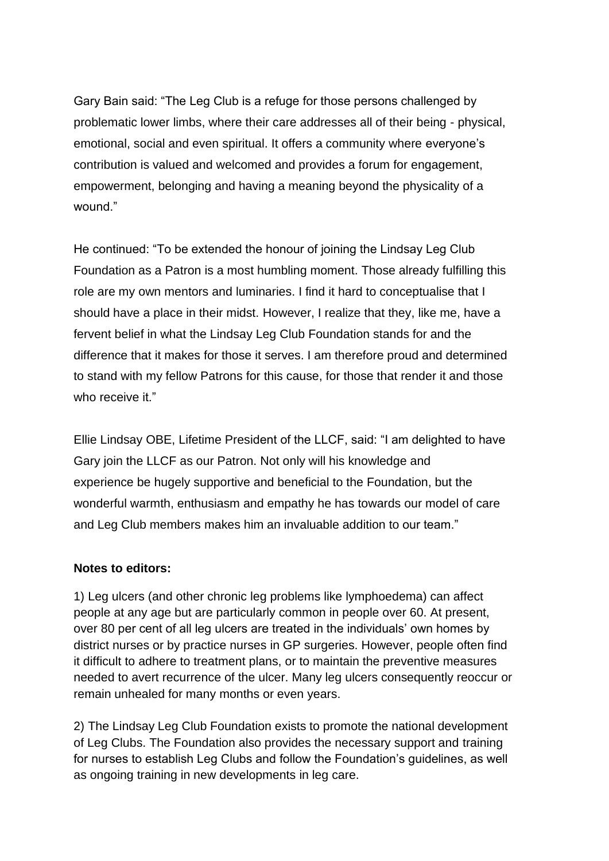Gary Bain said: "The Leg Club is a refuge for those persons challenged by problematic lower limbs, where their care addresses all of their being - physical, emotional, social and even spiritual. It offers a community where everyone's contribution is valued and welcomed and provides a forum for engagement, empowerment, belonging and having a meaning beyond the physicality of a wound."

He continued: "To be extended the honour of joining the Lindsay Leg Club Foundation as a Patron is a most humbling moment. Those already fulfilling this role are my own mentors and luminaries. I find it hard to conceptualise that I should have a place in their midst. However, I realize that they, like me, have a fervent belief in what the Lindsay Leg Club Foundation stands for and the difference that it makes for those it serves. I am therefore proud and determined to stand with my fellow Patrons for this cause, for those that render it and those who receive it."

Ellie Lindsay OBE, Lifetime President of the LLCF, said: "I am delighted to have Gary join the LLCF as our Patron. Not only will his knowledge and experience be hugely supportive and beneficial to the Foundation, but the wonderful warmth, enthusiasm and empathy he has towards our model of care and Leg Club members makes him an invaluable addition to our team."

## **Notes to editors:**

1) Leg ulcers (and other chronic leg problems like lymphoedema) can affect people at any age but are particularly common in people over 60. At present, over 80 per cent of all leg ulcers are treated in the individuals' own homes by district nurses or by practice nurses in GP surgeries. However, people often find it difficult to adhere to treatment plans, or to maintain the preventive measures needed to avert recurrence of the ulcer. Many leg ulcers consequently reoccur or remain unhealed for many months or even years.

2) The Lindsay Leg Club Foundation exists to promote the national development of Leg Clubs. The Foundation also provides the necessary support and training for nurses to establish Leg Clubs and follow the Foundation's guidelines, as well as ongoing training in new developments in leg care.